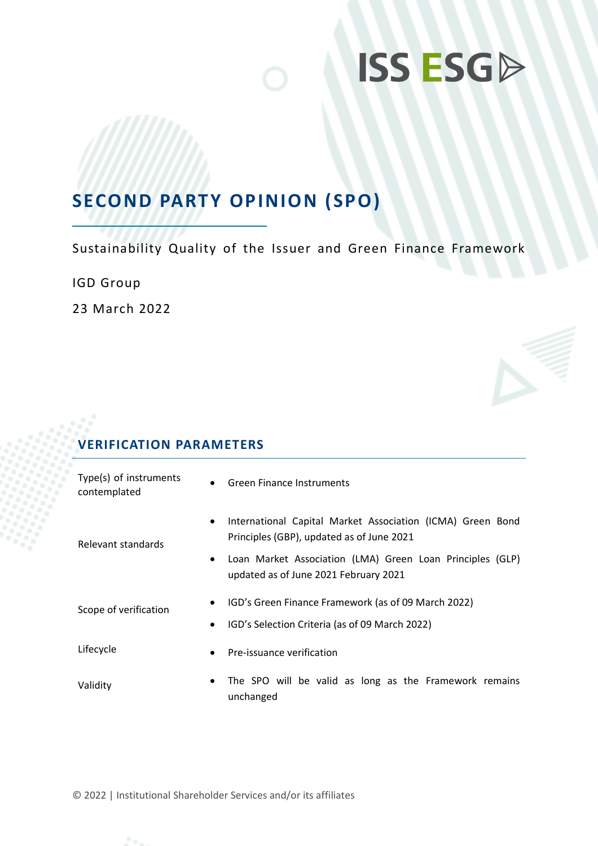# **ISS ESGP**

## **SECOND PARTY OPINION (SPO)**

Sustainability Quality of the Issuer and Green Finance Framework

IGD Group

23 March 2022

## **VERIFICATION PARAMETERS**

| Type(s) of instruments<br>$\bullet$<br>contemplated | <b>Green Finance Instruments</b>                                                                                |  |  |
|-----------------------------------------------------|-----------------------------------------------------------------------------------------------------------------|--|--|
| $\bullet$<br>Relevant standards                     | International Capital Market Association (ICMA) Green Bond<br>Principles (GBP), updated as of June 2021         |  |  |
|                                                     | Loan Market Association (LMA) Green Loan Principles (GLP)<br>$\bullet$<br>updated as of June 2021 February 2021 |  |  |
| $\bullet$<br>Scope of verification<br>$\bullet$     | IGD's Green Finance Framework (as of 09 March 2022)<br>IGD's Selection Criteria (as of 09 March 2022)           |  |  |
| Lifecycle<br>$\bullet$                              | Pre-issuance verification                                                                                       |  |  |
| $\bullet$<br>Validity                               | The SPO will be valid as long as the Framework remains<br>unchanged                                             |  |  |

© 2022 | Institutional Shareholder Services and/or its affiliates

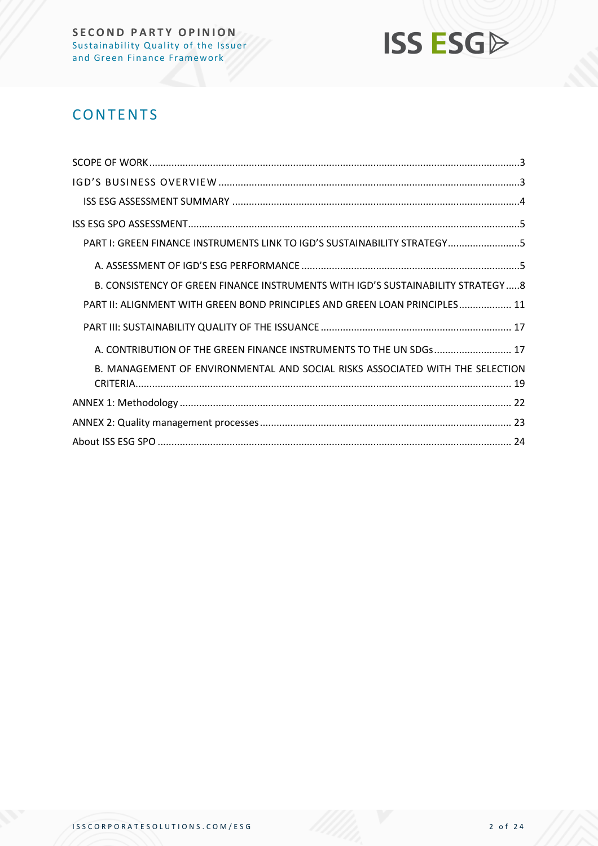

## **CONTENTS**

| PART I: GREEN FINANCE INSTRUMENTS LINK TO IGD'S SUSTAINABILITY STRATEGY5        |
|---------------------------------------------------------------------------------|
|                                                                                 |
| B. CONSISTENCY OF GREEN FINANCE INSTRUMENTS WITH IGD'S SUSTAINABILITY STRATEGY8 |
| PART II: ALIGNMENT WITH GREEN BOND PRINCIPLES AND GREEN LOAN PRINCIPLES 11      |
|                                                                                 |
| A. CONTRIBUTION OF THE GREEN FINANCE INSTRUMENTS TO THE UN SDGs  17             |
| B. MANAGEMENT OF ENVIRONMENTAL AND SOCIAL RISKS ASSOCIATED WITH THE SELECTION   |
|                                                                                 |
|                                                                                 |
|                                                                                 |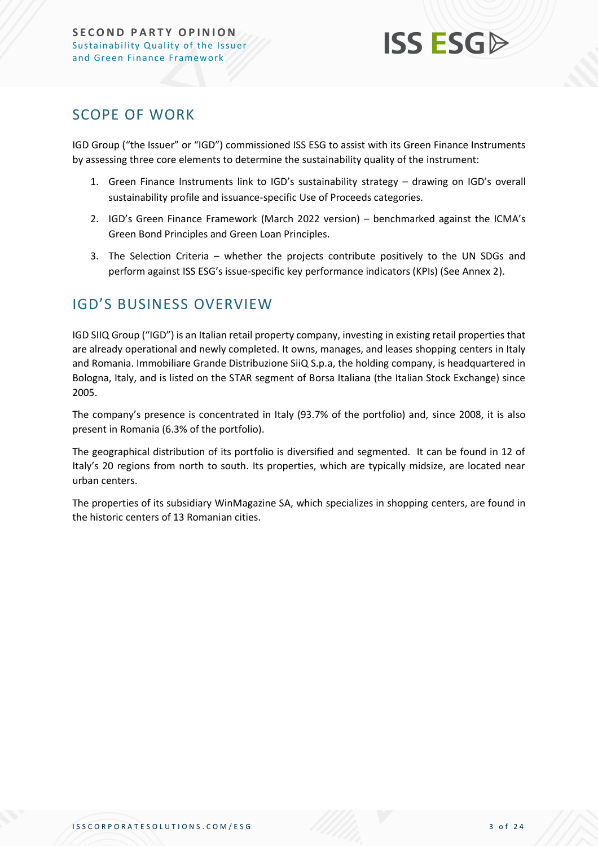

### <span id="page-2-0"></span>SCOPE OF WORK

IGD Group ("the Issuer" or "IGD") commissioned ISS ESG to assist with its Green Finance Instruments by assessing three core elements to determine the sustainability quality of the instrument:

- 1. Green Finance Instruments link to IGD's sustainability strategy drawing on IGD's overall sustainability profile and issuance-specific Use of Proceeds categories.
- 2. IGD's Green Finance Framework (March 2022 version) benchmarked against the ICMA's Green Bond Principles and Green Loan Principles.
- 3. The Selection Criteria whether the projects contribute positively to the UN SDGs and perform against ISS ESG's issue-specific key performance indicators (KPIs) (See Annex 2).

## <span id="page-2-1"></span>IGD'S BUSINESS OVERVIEW

IGD SIIQ Group ("IGD") is an Italian retail property company, investing in existing retail properties that are already operational and newly completed. It owns, manages, and leases shopping centers in Italy and Romania. Immobiliare Grande Distribuzione SiiQ S.p.a, the holding company, is headquartered in Bologna, Italy, and is listed on the STAR segment of Borsa Italiana (the Italian Stock Exchange) since 2005.

The company's presence is concentrated in Italy (93.7% of the portfolio) and, since 2008, it is also present in Romania (6.3% of the portfolio).

The geographical distribution of its portfolio is diversified and segmented. It can be found in 12 of Italy's 20 regions from north to south. Its properties, which are typically midsize, are located near urban centers.

The properties of its subsidiary WinMagazine SA, which specializes in shopping centers, are found in the historic centers of 13 Romanian cities.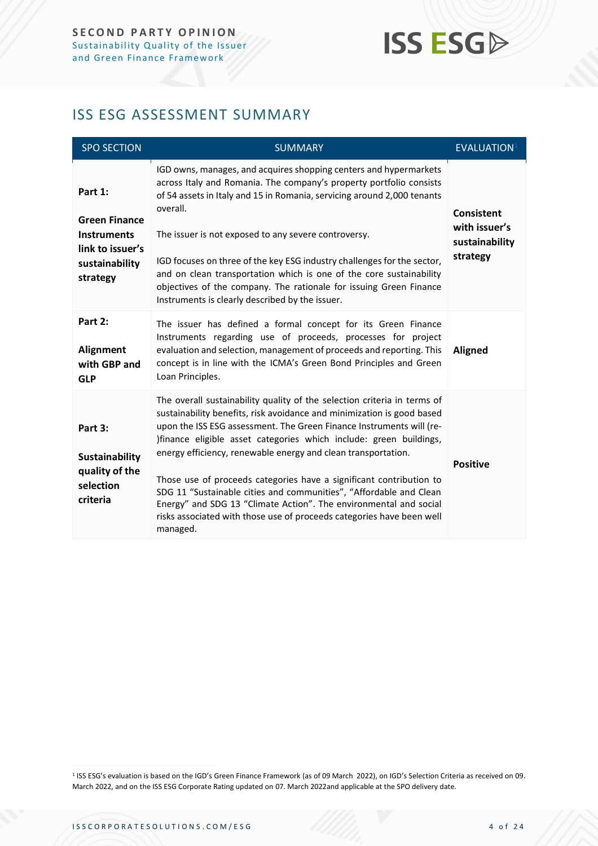## **ISS ESG**

## <span id="page-3-0"></span>ISS ESG ASSESSMENT SUMMARY

| <b>SPO SECTION</b>                                                                                      | <b>SUMMARY</b>                                                                                                                                                                                                                                                                                                                                                                                                                                                                                                                                                                                                                                                           | <b>EVALUATION</b> <sup>1</sup>                                   |
|---------------------------------------------------------------------------------------------------------|--------------------------------------------------------------------------------------------------------------------------------------------------------------------------------------------------------------------------------------------------------------------------------------------------------------------------------------------------------------------------------------------------------------------------------------------------------------------------------------------------------------------------------------------------------------------------------------------------------------------------------------------------------------------------|------------------------------------------------------------------|
| Part 1:<br><b>Green Finance</b><br><b>Instruments</b><br>link to issuer's<br>sustainability<br>strategy | IGD owns, manages, and acquires shopping centers and hypermarkets<br>across Italy and Romania. The company's property portfolio consists<br>of 54 assets in Italy and 15 in Romania, servicing around 2,000 tenants<br>overall.<br>The issuer is not exposed to any severe controversy.<br>IGD focuses on three of the key ESG industry challenges for the sector,<br>and on clean transportation which is one of the core sustainability<br>objectives of the company. The rationale for issuing Green Finance<br>Instruments is clearly described by the issuer.                                                                                                       | <b>Consistent</b><br>with issuer's<br>sustainability<br>strategy |
| Part 2:<br><b>Alignment</b><br>with GBP and<br><b>GLP</b>                                               | The issuer has defined a formal concept for its Green Finance<br>Instruments regarding use of proceeds, processes for project<br>evaluation and selection, management of proceeds and reporting. This<br>concept is in line with the ICMA's Green Bond Principles and Green<br>Loan Principles.                                                                                                                                                                                                                                                                                                                                                                          | <b>Aligned</b>                                                   |
| Part 3:<br><b>Sustainability</b><br>quality of the<br>selection<br>criteria                             | The overall sustainability quality of the selection criteria in terms of<br>sustainability benefits, risk avoidance and minimization is good based<br>upon the ISS ESG assessment. The Green Finance Instruments will (re-<br>)finance eligible asset categories which include: green buildings,<br>energy efficiency, renewable energy and clean transportation.<br>Those use of proceeds categories have a significant contribution to<br>SDG 11 "Sustainable cities and communities", "Affordable and Clean<br>Energy" and SDG 13 "Climate Action". The environmental and social<br>risks associated with those use of proceeds categories have been well<br>managed. | <b>Positive</b>                                                  |

<sup>1</sup> ISS ESG's evaluation is based on the IGD's Green Finance Framework (as of 09 March 2022), on IGD's Selection Criteria as received on 09. March 2022, and on the ISS ESG Corporate Rating updated on 07. March 2022and applicable at the SPO delivery date.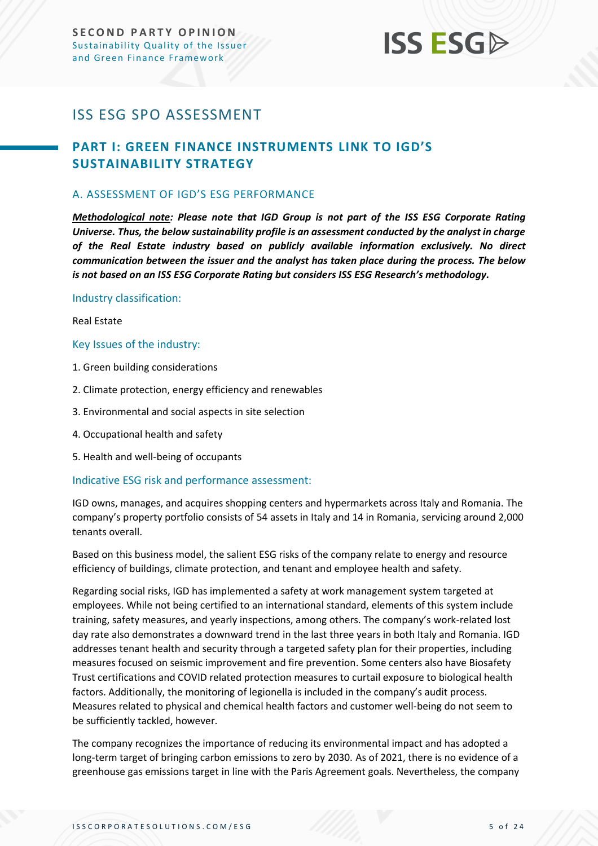## **ISS ESG**

## <span id="page-4-0"></span>ISS ESG SPO ASSESSMENT

### <span id="page-4-1"></span>**PART I: GREEN FINANCE INSTRUMENTS LINK TO IGD'S SUSTAINABILITY STRATEGY**

#### <span id="page-4-2"></span>A. ASSESSMENT OF IGD'S ESG PERFORMANCE

*Methodological note: Please note that IGD Group is not part of the ISS ESG Corporate Rating Universe. Thus, the below sustainability profile is an assessment conducted by the analyst in charge of the Real Estate industry based on publicly available information exclusively. No direct communication between the issuer and the analyst has taken place during the process. The below is not based on an ISS ESG Corporate Rating but considers ISS ESG Research's methodology.*

#### Industry classification:

Real Estate

#### Key Issues of the industry:

- 1. Green building considerations
- 2. Climate protection, energy efficiency and renewables
- 3. Environmental and social aspects in site selection
- 4. Occupational health and safety
- 5. Health and well-being of occupants

#### Indicative ESG risk and performance assessment:

IGD owns, manages, and acquires shopping centers and hypermarkets across Italy and Romania. The company's property portfolio consists of 54 assets in Italy and 14 in Romania, servicing around 2,000 tenants overall.

Based on this business model, the salient ESG risks of the company relate to energy and resource efficiency of buildings, climate protection, and tenant and employee health and safety.

Regarding social risks, IGD has implemented a safety at work management system targeted at employees. While not being certified to an international standard, elements of this system include training, safety measures, and yearly inspections, among others. The company's work-related lost day rate also demonstrates a downward trend in the last three years in both Italy and Romania. IGD addresses tenant health and security through a targeted safety plan for their properties, including measures focused on seismic improvement and fire prevention. Some centers also have Biosafety Trust certifications and COVID related protection measures to curtail exposure to biological health factors. Additionally, the monitoring of legionella is included in the company's audit process. Measures related to physical and chemical health factors and customer well-being do not seem to be sufficiently tackled, however.

The company recognizes the importance of reducing its environmental impact and has adopted a long-term target of bringing carbon emissions to zero by 2030. As of 2021, there is no evidence of a greenhouse gas emissions target in line with the Paris Agreement goals. Nevertheless, the company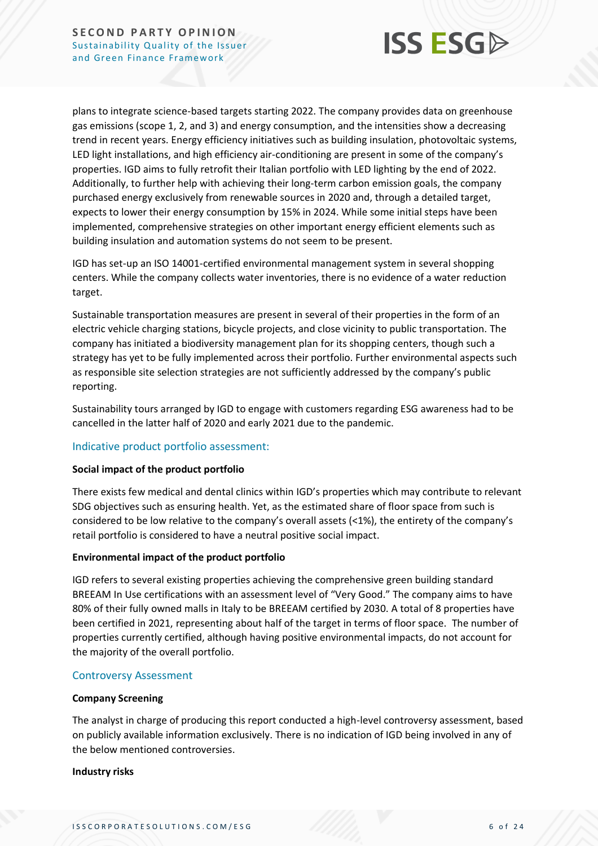

plans to integrate science-based targets starting 2022. The company provides data on greenhouse gas emissions (scope 1, 2, and 3) and energy consumption, and the intensities show a decreasing trend in recent years. Energy efficiency initiatives such as building insulation, photovoltaic systems, LED light installations, and high efficiency air-conditioning are present in some of the company's properties. IGD aims to fully retrofit their Italian portfolio with LED lighting by the end of 2022. Additionally, to further help with achieving their long-term carbon emission goals, the company purchased energy exclusively from renewable sources in 2020 and, through a detailed target, expects to lower their energy consumption by 15% in 2024. While some initial steps have been implemented, comprehensive strategies on other important energy efficient elements such as building insulation and automation systems do not seem to be present.

IGD has set-up an ISO 14001-certified environmental management system in several shopping centers. While the company collects water inventories, there is no evidence of a water reduction target.

Sustainable transportation measures are present in several of their properties in the form of an electric vehicle charging stations, bicycle projects, and close vicinity to public transportation. The company has initiated a biodiversity management plan for its shopping centers, though such a strategy has yet to be fully implemented across their portfolio. Further environmental aspects such as responsible site selection strategies are not sufficiently addressed by the company's public reporting.

Sustainability tours arranged by IGD to engage with customers regarding ESG awareness had to be cancelled in the latter half of 2020 and early 2021 due to the pandemic.

#### Indicative product portfolio assessment:

#### **Social impact of the product portfolio**

There exists few medical and dental clinics within IGD's properties which may contribute to relevant SDG objectives such as ensuring health. Yet, as the estimated share of floor space from such is considered to be low relative to the company's overall assets (<1%), the entirety of the company's retail portfolio is considered to have a neutral positive social impact.

#### **Environmental impact of the product portfolio**

IGD refers to several existing properties achieving the comprehensive green building standard BREEAM In Use certifications with an assessment level of "Very Good." The company aims to have 80% of their fully owned malls in Italy to be BREEAM certified by 2030. A total of 8 properties have been certified in 2021, representing about half of the target in terms of floor space. The number of properties currently certified, although having positive environmental impacts, do not account for the majority of the overall portfolio.

#### Controversy Assessment

#### **Company Screening**

The analyst in charge of producing this report conducted a high-level controversy assessment, based on publicly available information exclusively. There is no indication of IGD being involved in any of the below mentioned controversies.

#### **Industry risks**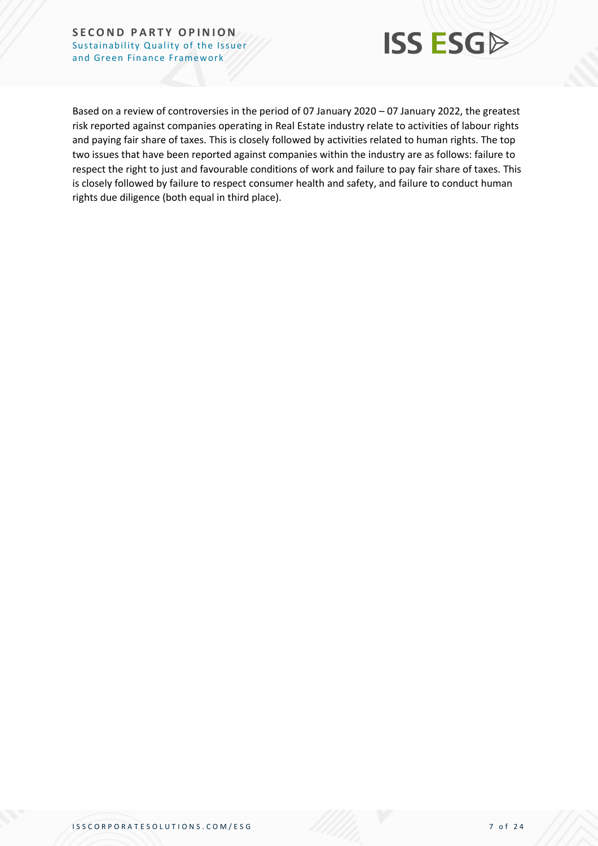#### **SECOND PARTY OPINION** Sustainability Quality of the Issuer and Green Finance Framework



Based on a review of controversies in the period of 07 January 2020 – 07 January 2022, the greatest risk reported against companies operating in Real Estate industry relate to activities of labour rights and paying fair share of taxes. This is closely followed by activities related to human rights. The top two issues that have been reported against companies within the industry are as follows: failure to respect the right to just and favourable conditions of work and failure to pay fair share of taxes. This is closely followed by failure to respect consumer health and safety, and failure to conduct human rights due diligence (both equal in third place).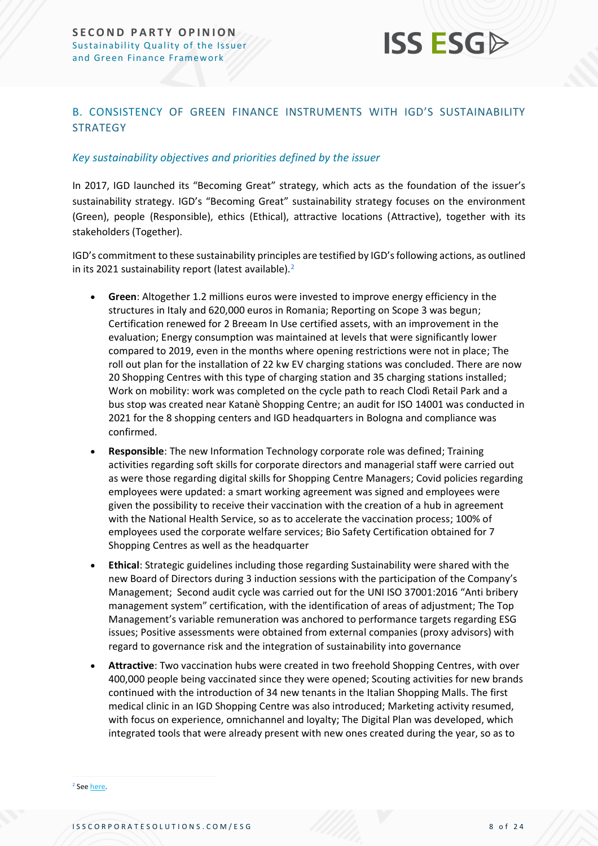

#### <span id="page-7-0"></span>B. CONSISTENCY OF GREEN FINANCE INSTRUMENTS WITH IGD'S SUSTAINABILITY **STRATEGY**

#### *Key sustainability objectives and priorities defined by the issuer*

In 2017, IGD launched its "Becoming Great" strategy, which acts as the foundation of the issuer's sustainability strategy. IGD's "Becoming Great" sustainability strategy focuses on the environment (Green), people (Responsible), ethics (Ethical), attractive locations (Attractive), together with its stakeholders (Together).

IGD's commitment to these sustainability principles are testified by IGD's following actions, as outlined in its 2021 sustainability report (latest available).<sup>2</sup>

- **Green**: Altogether 1.2 millions euros were invested to improve energy efficiency in the structures in Italy and 620,000 euros in Romania; Reporting on Scope 3 was begun; Certification renewed for 2 Breeam In Use certified assets, with an improvement in the evaluation; Energy consumption was maintained at levels that were significantly lower compared to 2019, even in the months where opening restrictions were not in place; The roll out plan for the installation of 22 kw EV charging stations was concluded. There are now 20 Shopping Centres with this type of charging station and 35 charging stations installed; Work on mobility: work was completed on the cycle path to reach Clodì Retail Park and a bus stop was created near Katanè Shopping Centre; an audit for ISO 14001 was conducted in 2021 for the 8 shopping centers and IGD headquarters in Bologna and compliance was confirmed.
- **Responsible**: The new Information Technology corporate role was defined; Training activities regarding soft skills for corporate directors and managerial staff were carried out as were those regarding digital skills for Shopping Centre Managers; Covid policies regarding employees were updated: a smart working agreement was signed and employees were given the possibility to receive their vaccination with the creation of a hub in agreement with the National Health Service, so as to accelerate the vaccination process; 100% of employees used the corporate welfare services; Bio Safety Certification obtained for 7 Shopping Centres as well as the headquarter
- **Ethical**: Strategic guidelines including those regarding Sustainability were shared with the new Board of Directors during 3 induction sessions with the participation of the Company's Management; Second audit cycle was carried out for the UNI ISO 37001:2016 "Anti bribery management system" certification, with the identification of areas of adjustment; The Top Management's variable remuneration was anchored to performance targets regarding ESG issues; Positive assessments were obtained from external companies (proxy advisors) with regard to governance risk and the integration of sustainability into governance
- **Attractive**: Two vaccination hubs were created in two freehold Shopping Centres, with over 400,000 people being vaccinated since they were opened; Scouting activities for new brands continued with the introduction of 34 new tenants in the Italian Shopping Malls. The first medical clinic in an IGD Shopping Centre was also introduced; Marketing activity resumed, with focus on experience, omnichannel and loyalty; The Digital Plan was developed, which integrated tools that were already present with new ones created during the year, so as to

<sup>2</sup> See here.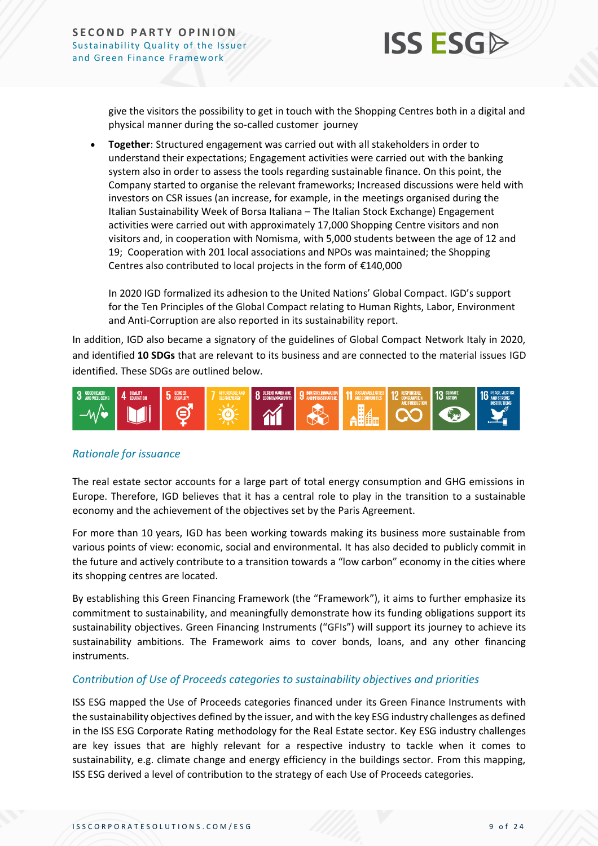

give the visitors the possibility to get in touch with the Shopping Centres both in a digital and physical manner during the so-called customer journey

• **Together**: Structured engagement was carried out with all stakeholders in order to understand their expectations; Engagement activities were carried out with the banking system also in order to assess the tools regarding sustainable finance. On this point, the Company started to organise the relevant frameworks; Increased discussions were held with investors on CSR issues (an increase, for example, in the meetings organised during the Italian Sustainability Week of Borsa Italiana – The Italian Stock Exchange) Engagement activities were carried out with approximately 17,000 Shopping Centre visitors and non visitors and, in cooperation with Nomisma, with 5,000 students between the age of 12 and 19; Cooperation with 201 local associations and NPOs was maintained; the Shopping Centres also contributed to local projects in the form of €140,000

In 2020 IGD formalized its adhesion to the United Nations' Global Compact. IGD's support for the Ten Principles of the Global Compact relating to Human Rights, Labor, Environment and Anti-Corruption are also reported in its sustainability report.

In addition, IGD also became a signatory of the guidelines of Global Compact Network Italy in 2020, and identified **10 SDGs** that are relevant to its business and are connected to the material issues IGD identified. These SDGs are outlined below.



#### *Rationale for issuance*

The real estate sector accounts for a large part of total energy consumption and GHG emissions in Europe. Therefore, IGD believes that it has a central role to play in the transition to a sustainable economy and the achievement of the objectives set by the Paris Agreement.

For more than 10 years, IGD has been working towards making its business more sustainable from various points of view: economic, social and environmental. It has also decided to publicly commit in the future and actively contribute to a transition towards a "low carbon" economy in the cities where its shopping centres are located.

By establishing this Green Financing Framework (the "Framework"), it aims to further emphasize its commitment to sustainability, and meaningfully demonstrate how its funding obligations support its sustainability objectives. Green Financing Instruments ("GFIs") will support its journey to achieve its sustainability ambitions. The Framework aims to cover bonds, loans, and any other financing instruments.

#### *Contribution of Use of Proceeds categories to sustainability objectives and priorities*

ISS ESG mapped the Use of Proceeds categories financed under its Green Finance Instruments with the sustainability objectives defined by the issuer, and with the key ESG industry challenges as defined in the ISS ESG Corporate Rating methodology for the Real Estate sector. Key ESG industry challenges are key issues that are highly relevant for a respective industry to tackle when it comes to sustainability, e.g. climate change and energy efficiency in the buildings sector. From this mapping, ISS ESG derived a level of contribution to the strategy of each Use of Proceeds categories.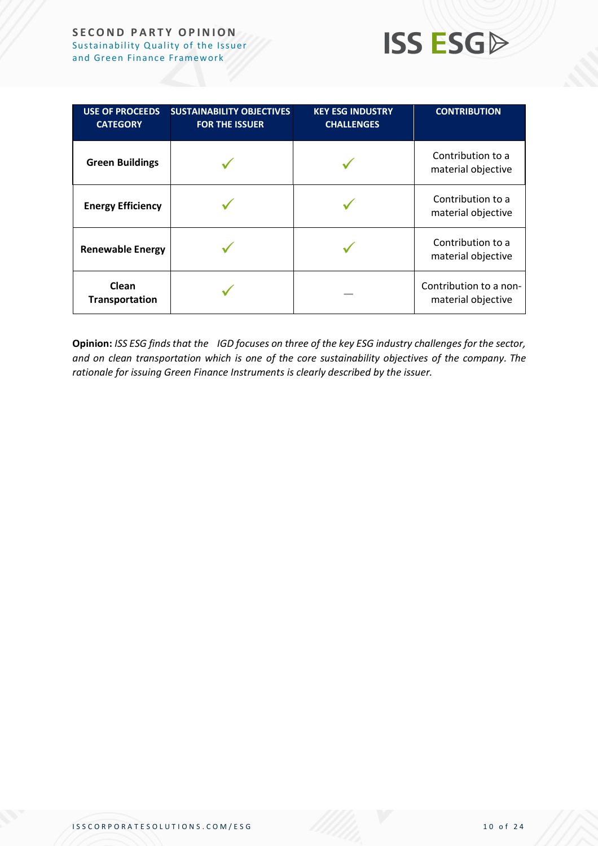#### **SECOND PARTY OPINION** Sustainability Quality of the Issuer and Green Finance Framework



| <b>USE OF PROCEEDS</b><br><b>CATEGORY</b> | <b>SUSTAINABILITY OBJECTIVES</b><br><b>FOR THE ISSUER</b> | <b>KEY ESG INDUSTRY</b><br><b>CHALLENGES</b> | <b>CONTRIBUTION</b>                          |
|-------------------------------------------|-----------------------------------------------------------|----------------------------------------------|----------------------------------------------|
| <b>Green Buildings</b>                    |                                                           |                                              | Contribution to a<br>material objective      |
| <b>Energy Efficiency</b>                  |                                                           |                                              | Contribution to a<br>material objective      |
| <b>Renewable Energy</b>                   |                                                           |                                              | Contribution to a<br>material objective      |
| Clean<br>Transportation                   |                                                           |                                              | Contribution to a non-<br>material objective |

**Opinion:** *ISS ESG finds that the IGD focuses on three of the key ESG industry challenges for the sector, and on clean transportation which is one of the core sustainability objectives of the company. The rationale for issuing Green Finance Instruments is clearly described by the issuer.*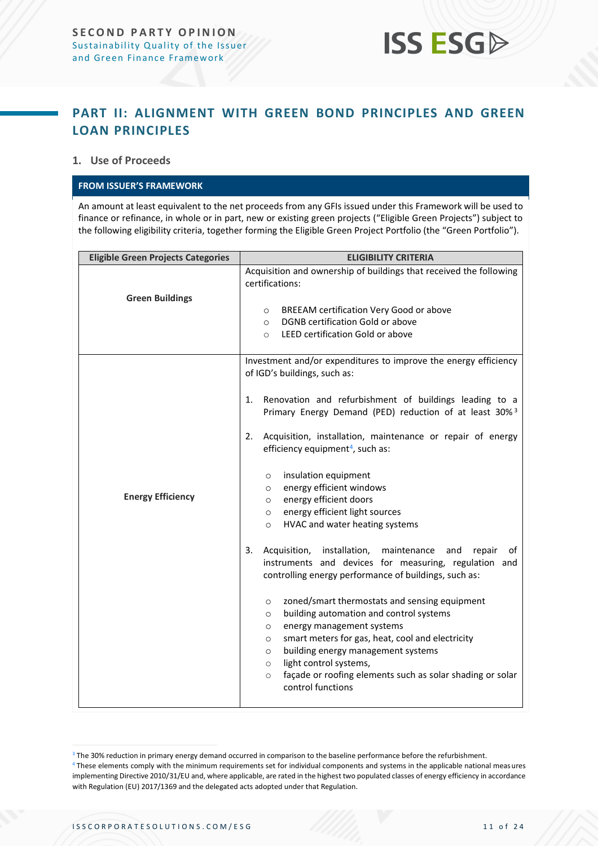## **ISS ESGA**

### <span id="page-10-0"></span>**PART II: ALIGNMENT WITH GREEN BOND PRINCIPLES AND GREEN LOAN PRINCIPLES**

#### **1. Use of Proceeds**

#### **FROM ISSUER'S FRAMEWORK**

An amount at least equivalent to the net proceeds from any GFIs issued under this Framework will be used to finance or refinance, in whole or in part, new or existing green projects ("Eligible Green Projects") subject to the following eligibility criteria, together forming the Eligible Green Project Portfolio (the "Green Portfolio").

| <b>Eligible Green Projects Categories</b> | <b>ELIGIBILITY CRITERIA</b>                                                                                                                                                                                                                                                                                                                                                                                                                                                                                                                                                                                                                                                                                                                                                                                                                                                                                                                                                    |  |  |
|-------------------------------------------|--------------------------------------------------------------------------------------------------------------------------------------------------------------------------------------------------------------------------------------------------------------------------------------------------------------------------------------------------------------------------------------------------------------------------------------------------------------------------------------------------------------------------------------------------------------------------------------------------------------------------------------------------------------------------------------------------------------------------------------------------------------------------------------------------------------------------------------------------------------------------------------------------------------------------------------------------------------------------------|--|--|
| <b>Green Buildings</b>                    | Acquisition and ownership of buildings that received the following<br>certifications:<br>BREEAM certification Very Good or above<br>$\circ$<br>DGNB certification Gold or above<br>$\circ$<br>LEED certification Gold or above<br>$\circ$                                                                                                                                                                                                                                                                                                                                                                                                                                                                                                                                                                                                                                                                                                                                      |  |  |
| <b>Energy Efficiency</b>                  | Investment and/or expenditures to improve the energy efficiency<br>of IGD's buildings, such as:<br>1. Renovation and refurbishment of buildings leading to a<br>Primary Energy Demand (PED) reduction of at least 30% <sup>3</sup><br>Acquisition, installation, maintenance or repair of energy<br>2.<br>efficiency equipment <sup>4</sup> , such as:<br>insulation equipment<br>$\circ$<br>energy efficient windows<br>$\circ$<br>energy efficient doors<br>$\circ$<br>energy efficient light sources<br>$\circ$<br>HVAC and water heating systems<br>$\circ$<br>3.<br>Acquisition, installation, maintenance and<br>repair<br>of<br>instruments and devices for measuring, regulation and<br>controlling energy performance of buildings, such as:<br>zoned/smart thermostats and sensing equipment<br>$\circ$<br>building automation and control systems<br>$\circ$<br>energy management systems<br>$\circ$<br>smart meters for gas, heat, cool and electricity<br>$\circ$ |  |  |
|                                           | light control systems,<br>$\circ$<br>façade or roofing elements such as solar shading or solar<br>$\circ$<br>control functions                                                                                                                                                                                                                                                                                                                                                                                                                                                                                                                                                                                                                                                                                                                                                                                                                                                 |  |  |

<sup>&</sup>lt;sup>3</sup> The 30% reduction in primary energy demand occurred in comparison to the baseline performance before the refurbishment.

<sup>&</sup>lt;sup>4</sup> These elements comply with the minimum requirements set for individual components and systems in the applicable national measures implementing Directive 2010/31/EU and, where applicable, are rated in the highest two populated classes of energy efficiency in accordance with Regulation (EU) 2017/1369 and the delegated acts adopted under that Regulation.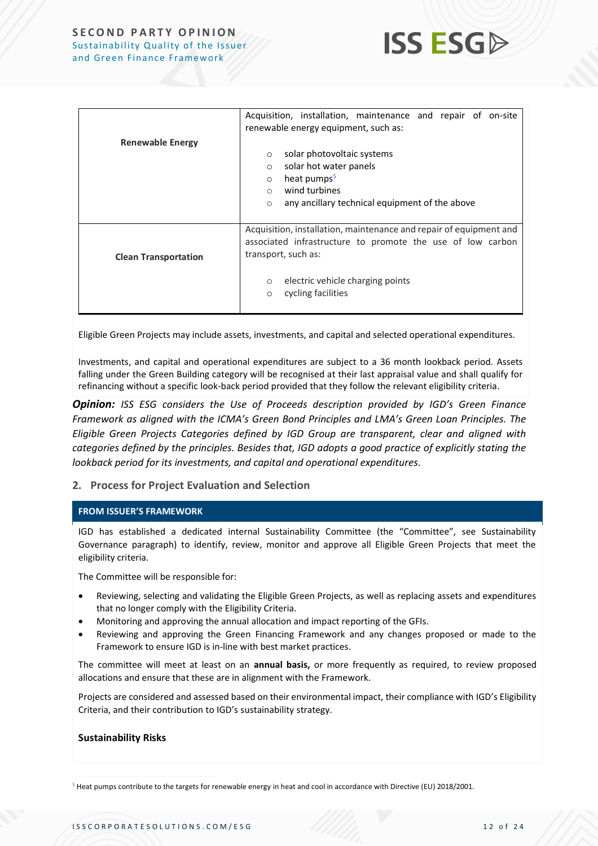#### **SECOND PARTY OPINION** Sustainability Quality of the Issuer and Green Finance Framework



|                             | Acquisition, installation, maintenance and repair of on-site       |  |  |  |
|-----------------------------|--------------------------------------------------------------------|--|--|--|
|                             | renewable energy equipment, such as:                               |  |  |  |
| <b>Renewable Energy</b>     |                                                                    |  |  |  |
|                             | solar photovoltaic systems<br>$\circ$                              |  |  |  |
|                             | solar hot water panels<br>$\circ$                                  |  |  |  |
|                             | heat pumps <sup>5</sup><br>$\circ$                                 |  |  |  |
|                             | wind turbines<br>$\bigcirc$                                        |  |  |  |
|                             | any ancillary technical equipment of the above<br>$\circ$          |  |  |  |
|                             |                                                                    |  |  |  |
|                             | Acquisition, installation, maintenance and repair of equipment and |  |  |  |
|                             | associated infrastructure to promote the use of low carbon         |  |  |  |
| <b>Clean Transportation</b> | transport, such as:                                                |  |  |  |
|                             |                                                                    |  |  |  |
|                             | electric vehicle charging points<br>$\circ$                        |  |  |  |
|                             | cycling facilities<br>$\circ$                                      |  |  |  |
|                             |                                                                    |  |  |  |

Eligible Green Projects may include assets, investments, and capital and selected operational expenditures.

Investments, and capital and operational expenditures are subject to a 36 month lookback period. Assets falling under the Green Building category will be recognised at their last appraisal value and shall qualify for refinancing without a specific look-back period provided that they follow the relevant eligibility criteria.

*Opinion: ISS ESG considers the Use of Proceeds description provided by IGD's Green Finance Framework as aligned with the ICMA's Green Bond Principles and LMA's Green Loan Principles. The Eligible Green Projects Categories defined by IGD Group are transparent, clear and aligned with categories defined by the principles. Besides that, IGD adopts a good practice of explicitly stating the lookback period for its investments, and capital and operational expenditures.* 

#### **2. Process for Project Evaluation and Selection**

#### **FROM ISSUER'S FRAMEWORK**

IGD has established a dedicated internal Sustainability Committee (the "Committee", see Sustainability Governance paragraph) to identify, review, monitor and approve all Eligible Green Projects that meet the eligibility criteria.

The Committee will be responsible for:

- Reviewing, selecting and validating the Eligible Green Projects, as well as replacing assets and expenditures that no longer comply with the Eligibility Criteria.
- Monitoring and approving the annual allocation and impact reporting of the GFIs.
- Reviewing and approving the Green Financing Framework and any changes proposed or made to the Framework to ensure IGD is in-line with best market practices.

The committee will meet at least on an **annual basis,** or more frequently as required, to review proposed allocations and ensure that these are in alignment with the Framework.

Projects are considered and assessed based on their environmental impact, their compliance with IGD's Eligibility Criteria, and their contribution to IGD's sustainability strategy.

#### **Sustainability Risks**

<sup>5</sup> Heat pumps contribute to the targets for renewable energy in heat and cool in accordance with Directive (EU) 2018/2001.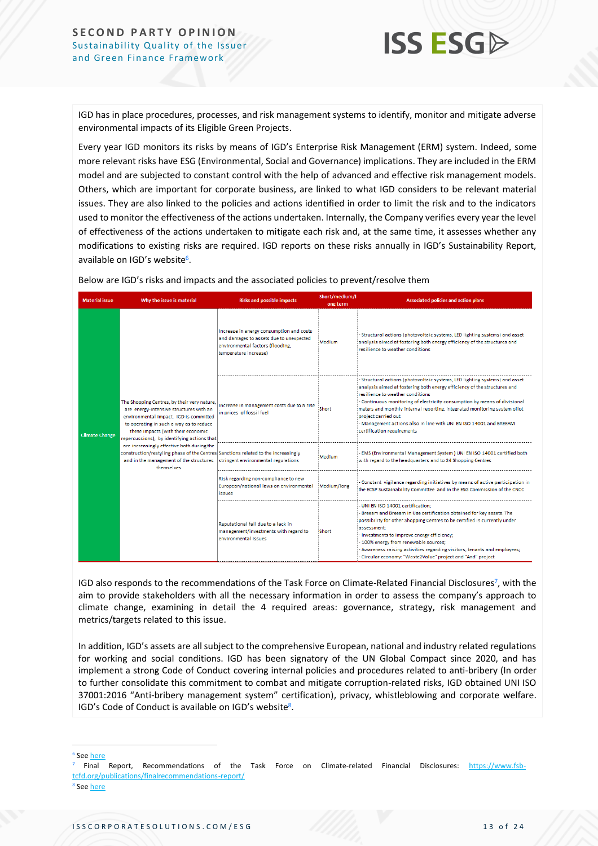

IGD has in place procedures, processes, and risk management systems to identify, monitor and mitigate adverse environmental impacts of its Eligible Green Projects.

Every year IGD monitors its risks by means of IGD's Enterprise Risk Management (ERM) system. Indeed, some more relevant risks have ESG (Environmental, Social and Governance) implications. They are included in the ERM model and are subjected to constant control with the help of advanced and effective risk management models. Others, which are important for corporate business, are linked to what IGD considers to be relevant material issues. They are also linked to the policies and actions identified in order to limit the risk and to the indicators used to monitor the effectiveness of the actions undertaken. Internally, the Company verifies every year the level of effectiveness of the actions undertaken to mitigate each risk and, at the same time, it assesses whether any modifications to existing risks are required. IGD reports on these risks annually in IGD's Sustainability Report, available on IGD's website<sup>6</sup>.

Below are IGD's risks and impacts and the associated policies to prevent/resolve them

| <b>Material issue</b>                                                                                                                                                                                                                                                                                                                                                                                                                                                                 | Why the issue is material                                                                                                                        | <b>Risks and possible impacts</b>                                      | Short/medium/l<br>ong term                                                                                                                                                                                                                                                                                                                                                                                                             | <b>Associated policies and action plans</b>                                                                                                                                                                                                                                                                                                                                                                                                                                    |
|---------------------------------------------------------------------------------------------------------------------------------------------------------------------------------------------------------------------------------------------------------------------------------------------------------------------------------------------------------------------------------------------------------------------------------------------------------------------------------------|--------------------------------------------------------------------------------------------------------------------------------------------------|------------------------------------------------------------------------|----------------------------------------------------------------------------------------------------------------------------------------------------------------------------------------------------------------------------------------------------------------------------------------------------------------------------------------------------------------------------------------------------------------------------------------|--------------------------------------------------------------------------------------------------------------------------------------------------------------------------------------------------------------------------------------------------------------------------------------------------------------------------------------------------------------------------------------------------------------------------------------------------------------------------------|
| The Shopping Centres, by their very nature,<br>are energy-intensive structures with an<br>environmental impact. IGD is committed<br>to operating in such a way as to reduce<br>these impacts (with their economic<br><b>Climate Change</b><br>repercussions), by identifying actions that<br>are increasingly effective both during the<br>construction/restyling phase of the Centres Sanctions related to the increasingly<br>and in the management of the structures<br>themselves | Increase in energy consumption and costs<br>and damages to assets due to unexpected<br>environmental factors (flooding,<br>temperature increase) | Medium                                                                 | - Structural actions (photovoltaic systems, LED lighting systems) and asset<br>analysis aimed at fostering both energy efficiency of the structures and<br>resilience to weather conditions.                                                                                                                                                                                                                                           |                                                                                                                                                                                                                                                                                                                                                                                                                                                                                |
|                                                                                                                                                                                                                                                                                                                                                                                                                                                                                       |                                                                                                                                                  | Increase in management costs due to a rise<br>in prices of fossil fuel | Short                                                                                                                                                                                                                                                                                                                                                                                                                                  | - Structural actions (photovoltaic systems, LED lighting systems) and asset<br>analysis aimed at fostering both energy efficiency of the structures and<br>resilience to weather conditions<br>Continuous monitoring of electricity consumption by means of divisional<br>meters and monthly internal reporting; integrated monitoring system pilot<br>project carried out<br>- Management actions also in line with UNI EN ISO 14001 and BREEAM<br>certification requirements |
|                                                                                                                                                                                                                                                                                                                                                                                                                                                                                       | stringent environmental regulations                                                                                                              | Medium                                                                 | EMS (Environmental Management System ) UNI EN ISO 14001 certified both<br>with regard to the headquarters and to 24 Shopping Centres                                                                                                                                                                                                                                                                                                   |                                                                                                                                                                                                                                                                                                                                                                                                                                                                                |
|                                                                                                                                                                                                                                                                                                                                                                                                                                                                                       | Risk regarding non-compliance to new<br>European/national laws on environmental<br>issues                                                        | Medium/long                                                            | - Constant vigilance regarding initiatives by means of active participation in<br>the ECSP Sustainability Committee and in the ESG Commission of the CNCC                                                                                                                                                                                                                                                                              |                                                                                                                                                                                                                                                                                                                                                                                                                                                                                |
|                                                                                                                                                                                                                                                                                                                                                                                                                                                                                       | Reputational fall due to a lack in<br>management/investments with regard to<br>environmental issues                                              | <b>Short</b>                                                           | - UNI EN ISO 14001 certification:<br>Breeam and Breeam in Use certification obtained for key assets. The<br>possibility for other Shopping Centres to be certified is currently under<br>assessment:<br>- Investments to improve energy efficiency;<br>- 100% energy from renewable sources;<br>Awareness raising activities regarding visitors, tenants and employees;<br>- Circular economy: "Waste2Value" project and "And" project |                                                                                                                                                                                                                                                                                                                                                                                                                                                                                |

IGD also responds to the recommendations of the Task Force on Climate-Related Financial Disclosures<sup>7</sup>, with the aim to provide stakeholders with all the necessary information in order to assess the company's approach to climate change, examining in detail the 4 required areas: governance, strategy, risk management and metrics/targets related to this issue.

In addition, IGD's assets are all subject to the comprehensive European, national and industry related regulations for working and social conditions. IGD has been signatory of the UN Global Compact since 2020, and has implement a strong Code of Conduct covering internal policies and procedures related to anti-bribery (In order to further consolidate this commitment to combat and mitigate corruption-related risks, IGD obtained UNI ISO 37001:2016 "Anti-bribery management system" certification), privacy, whistleblowing and corporate welfare. IGD's Code of Conduct is available on IGD's website<sup>8</sup>.

<sup>6</sup> See [here](https://www.gruppoigd.it/en/sustainability/sustainability-report/sustainability-report-archive/)

<sup>&</sup>lt;sup>7</sup> Final Report, Recommendations of the Task Force on Climate-related Financial Disclosures: [https://www.fsb](https://www.fsb-tcfd.org/publications/finalrecommendations-report/)[tcfd.org/publications/finalrecommendations-report/](https://www.fsb-tcfd.org/publications/finalrecommendations-report/) <sup>8</sup> See [here](https://www.gruppoigd.it/en/governance/business-ethics/code-of-conduct/)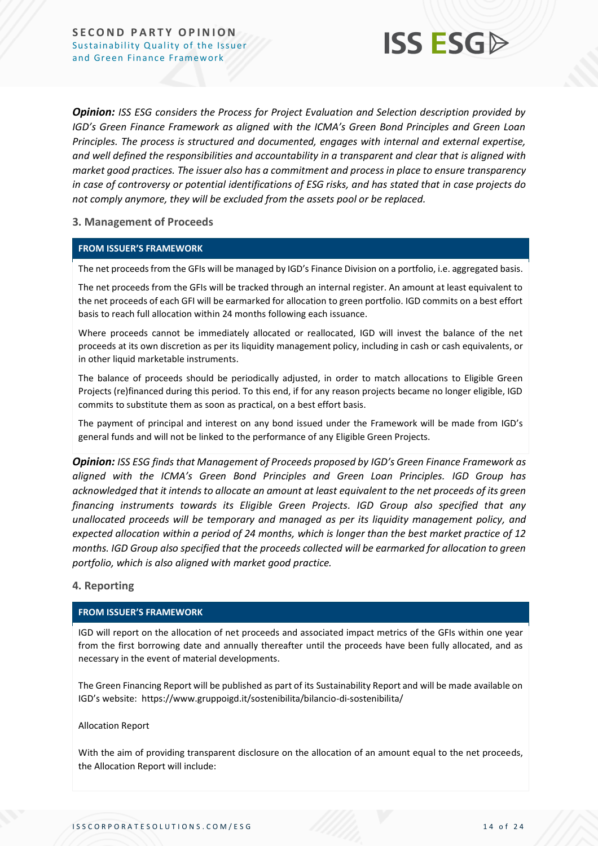

*Opinion: ISS ESG considers the Process for Project Evaluation and Selection description provided by IGD's Green Finance Framework as aligned with the ICMA's Green Bond Principles and Green Loan Principles. The process is structured and documented, engages with internal and external expertise, and well defined the responsibilities and accountability in a transparent and clear that is aligned with market good practices. The issuer also has a commitment and process in place to ensure transparency in case of controversy or potential identifications of ESG risks, and has stated that in case projects do not comply anymore, they will be excluded from the assets pool or be replaced.* 

#### **3. Management of Proceeds**

#### **FROM ISSUER'S FRAMEWORK**

The net proceeds from the GFIs will be managed by IGD's Finance Division on a portfolio, i.e. aggregated basis.

The net proceeds from the GFIs will be tracked through an internal register. An amount at least equivalent to the net proceeds of each GFI will be earmarked for allocation to green portfolio. IGD commits on a best effort basis to reach full allocation within 24 months following each issuance.

Where proceeds cannot be immediately allocated or reallocated, IGD will invest the balance of the net proceeds at its own discretion as per its liquidity management policy, including in cash or cash equivalents, or in other liquid marketable instruments.

The balance of proceeds should be periodically adjusted, in order to match allocations to Eligible Green Projects (re)financed during this period. To this end, if for any reason projects became no longer eligible, IGD commits to substitute them as soon as practical, on a best effort basis.

The payment of principal and interest on any bond issued under the Framework will be made from IGD's general funds and will not be linked to the performance of any Eligible Green Projects.

*Opinion: ISS ESG finds that Management of Proceeds proposed by IGD's Green Finance Framework as aligned with the ICMA's Green Bond Principles and Green Loan Principles. IGD Group has acknowledged that it intends to allocate an amount at least equivalent to the net proceeds of its green financing instruments towards its Eligible Green Projects. IGD Group also specified that any unallocated proceeds will be temporary and managed as per its liquidity management policy, and expected allocation within a period of 24 months, which is longer than the best market practice of 12 months. IGD Group also specified that the proceeds collected will be earmarked for allocation to green portfolio, which is also aligned with market good practice.* 

#### **4. Reporting**

#### **FROM ISSUER'S FRAMEWORK**

IGD will report on the allocation of net proceeds and associated impact metrics of the GFIs within one year from the first borrowing date and annually thereafter until the proceeds have been fully allocated, and as necessary in the event of material developments.

The Green Financing Report will be published as part of its Sustainability Report and will be made available on IGD's website: https://www.gruppoigd.it/sostenibilita/bilancio-di-sostenibilita/

#### Allocation Report

With the aim of providing transparent disclosure on the allocation of an amount equal to the net proceeds, the Allocation Report will include: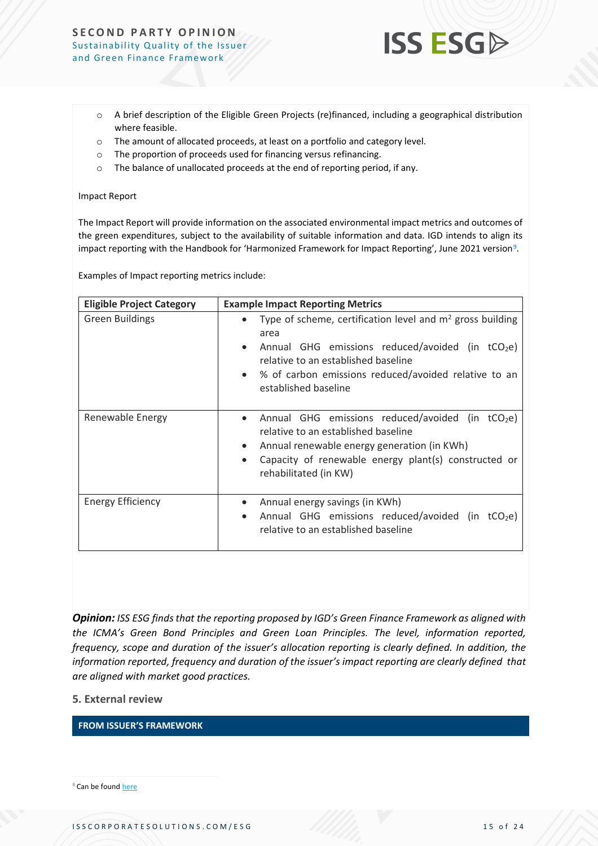#### **SECOND PARTY OPINION** Sustainability Quality of the Issuer and Green Finance Framework



- o A brief description of the Eligible Green Projects (re)financed, including a geographical distribution where feasible.
- o The amount of allocated proceeds, at least on a portfolio and category level.
- o The proportion of proceeds used for financing versus refinancing.
- o The balance of unallocated proceeds at the end of reporting period, if any.

#### Impact Report

The Impact Report will provide information on the associated environmental impact metrics and outcomes of the green expenditures, subject to the availability of suitable information and data. IGD intends to align its impact reporting with the Handbook for 'Harmonized Framework for Impact Reporting', June 2021 version $^9$ .

Examples of Impact reporting metrics include:

| <b>Eligible Project Category</b> | <b>Example Impact Reporting Metrics</b>                                                                                                                                                                                                                       |  |  |
|----------------------------------|---------------------------------------------------------------------------------------------------------------------------------------------------------------------------------------------------------------------------------------------------------------|--|--|
| <b>Green Buildings</b>           | Type of scheme, certification level and $m2$ gross building<br>area<br>Annual GHG emissions reduced/avoided (in $tCO2e$ )<br>relative to an established baseline<br>% of carbon emissions reduced/avoided relative to an<br>$\bullet$<br>established baseline |  |  |
| Renewable Energy                 | Annual GHG emissions reduced/avoided (in $tCO2e$ )<br>relative to an established baseline<br>Annual renewable energy generation (in KWh)<br>Capacity of renewable energy plant(s) constructed or<br>rehabilitated (in KW)                                     |  |  |
| <b>Energy Efficiency</b>         | Annual energy savings (in KWh)<br>Annual GHG emissions reduced/avoided (in $tCO2e$ )<br>٠<br>relative to an established baseline                                                                                                                              |  |  |

*Opinion: ISS ESG finds that the reporting proposed by IGD's Green Finance Framework as aligned with the ICMA's Green Bond Principles and Green Loan Principles. The level, information reported, frequency, scope and duration of the issuer's allocation reporting is clearly defined. In addition, the information reported, frequency and duration of the issuer's impact reporting are clearly defined that are aligned with market good practices.*

**5. External review**

**FROM ISSUER'S FRAMEWORK**

<sup>9</sup> Can be foun[d here](https://www.icmagroup.org/assets/documents/Sustainable-finance/2021-updates/Handbook-Harmonised-Framework-for-Impact-Reporting-June-2021-100621.pdf)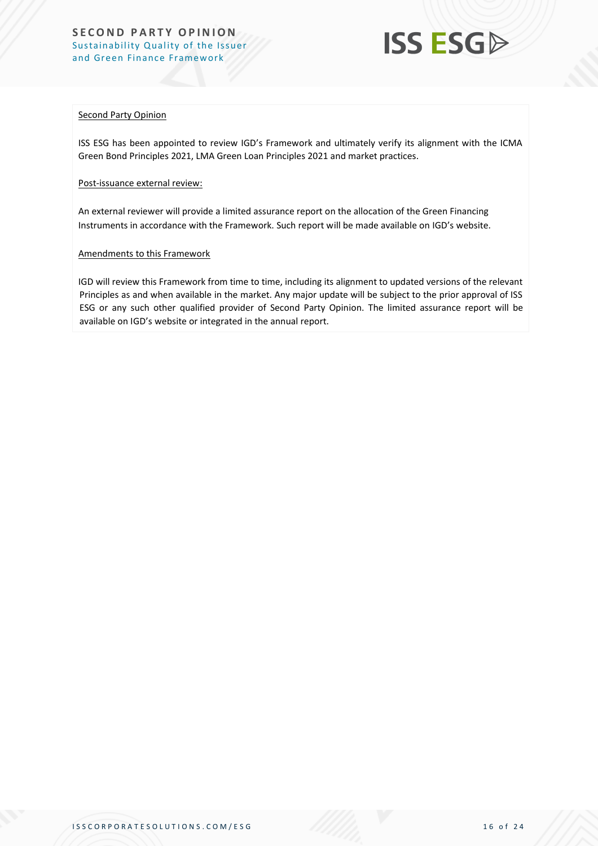

#### Second Party Opinion

ISS ESG has been appointed to review IGD's Framework and ultimately verify its alignment with the ICMA Green Bond Principles 2021, LMA Green Loan Principles 2021 and market practices.

#### Post-issuance external review:

An external reviewer will provide a limited assurance report on the allocation of the Green Financing Instruments in accordance with the Framework. Such report will be made available on IGD's website.

#### Amendments to this Framework

IGD will review this Framework from time to time, including its alignment to updated versions of the relevant Principles as and when available in the market. Any major update will be subject to the prior approval of ISS ESG or any such other qualified provider of Second Party Opinion. The limited assurance report will be available on IGD's website or integrated in the annual report.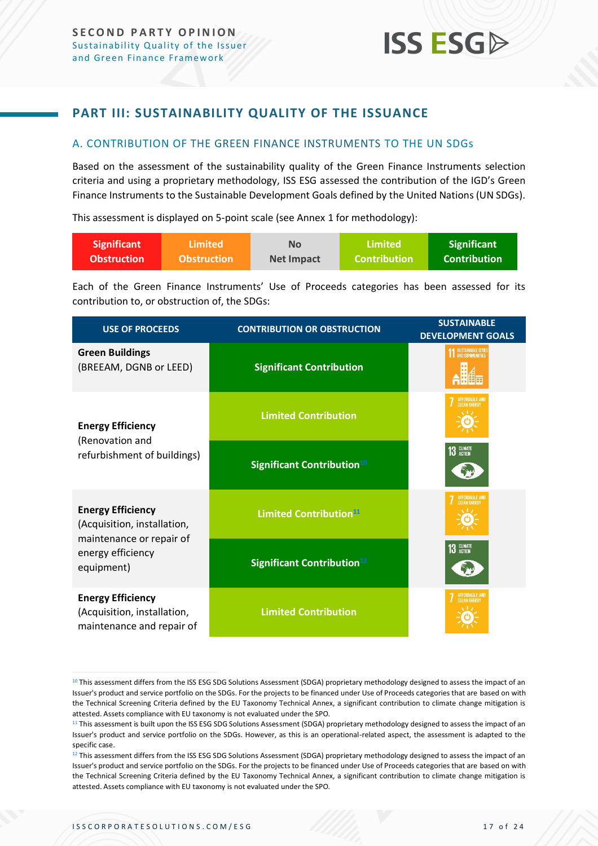### <span id="page-16-0"></span>**PART III: SUSTAINABILITY QUALITY OF THE ISSUANCE**

#### <span id="page-16-1"></span>A. CONTRIBUTION OF THE GREEN FINANCE INSTRUMENTS TO THE UN SDGs

Based on the assessment of the sustainability quality of the Green Finance Instruments selection criteria and using a proprietary methodology, ISS ESG assessed the contribution of the IGD's Green Finance Instruments to the Sustainable Development Goals defined by the United Nations (UN SDGs).

This assessment is displayed on 5-point scale (see Annex 1 for methodology):

| <b>Significant</b> | ا Limited          | No         | Limited             | <b>Significant</b>  |
|--------------------|--------------------|------------|---------------------|---------------------|
| <b>Obstruction</b> | <b>Obstruction</b> | Net Impact | <b>Contribution</b> | <b>Contribution</b> |

Each of the Green Finance Instruments' Use of Proceeds categories has been assessed for its contribution to, or obstruction of, the SDGs:

| <b>USE OF PROCEEDS</b>                                                               | <b>CONTRIBUTION OR OBSTRUCTION</b>     | <b>SUSTAINABLE</b><br><b>DEVELOPMENT GOALS</b> |
|--------------------------------------------------------------------------------------|----------------------------------------|------------------------------------------------|
| <b>Green Buildings</b><br>(BREEAM, DGNB or LEED)                                     | <b>Significant Contribution</b>        | SUSTAINABLE CITTES                             |
| <b>Energy Efficiency</b><br>(Renovation and                                          | <b>Limited Contribution</b>            |                                                |
| refurbishment of buildings)                                                          | Significant Contribution <sup>10</sup> | 13 GLIMATE                                     |
| <b>Energy Efficiency</b><br>(Acquisition, installation,<br>maintenance or repair of  | Limited Contribution <sup>11</sup>     | AFFORDABLE AN <mark>i</mark><br>Clean Energy   |
| energy efficiency<br>equipment)                                                      | Significant Contribution <sup>12</sup> | 13 GLIMATE                                     |
| <b>Energy Efficiency</b><br>(Acquisition, installation,<br>maintenance and repair of | <b>Limited Contribution</b>            |                                                |

<sup>&</sup>lt;sup>10</sup> This assessment differs from the ISS ESG SDG Solutions Assessment (SDGA) proprietary methodology designed to assess the impact of an Issuer's product and service portfolio on the SDGs. For the projects to be financed under Use of Proceeds categories that are based on with the Technical Screening Criteria defined by the EU Taxonomy Technical Annex, a significant contribution to climate change mitigation is attested. Assets compliance with EU taxonomy is not evaluated under the SPO.

<sup>&</sup>lt;sup>11</sup> This assessment is built upon the ISS ESG SDG Solutions Assessment (SDGA) proprietary methodology designed to assess the impact of an Issuer's product and service portfolio on the SDGs. However, as this is an operational-related aspect, the assessment is adapted to the specific case.

 $12$  This assessment differs from the ISS ESG SDG Solutions Assessment (SDGA) proprietary methodology designed to assess the impact of an Issuer's product and service portfolio on the SDGs. For the projects to be financed under Use of Proceeds categories that are based on with the Technical Screening Criteria defined by the EU Taxonomy Technical Annex, a significant contribution to climate change mitigation is attested. Assets compliance with EU taxonomy is not evaluated under the SPO.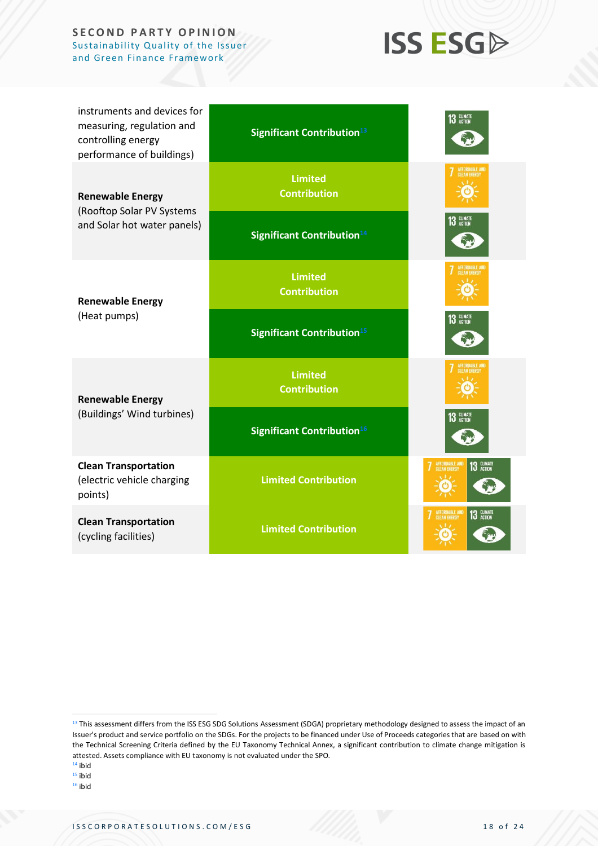#### **SECOND PARTY OPINION** Sustainability Quality of the Issuer

and Green Finance Framework

## **ISS ESGA**

| instruments and devices for<br>measuring, regulation and<br>controlling energy<br>performance of buildings) | Significant Contribution <sup>13</sup>       | 13 GLIMATE                                   |
|-------------------------------------------------------------------------------------------------------------|----------------------------------------------|----------------------------------------------|
| <b>Renewable Energy</b><br>(Rooftop Solar PV Systems<br>and Solar hot water panels)                         | <b>Limited</b><br><b>Contribution</b>        |                                              |
|                                                                                                             | Significant Contribution <sup>14</sup>       | 13 CLIMATE                                   |
| <b>Renewable Energy</b>                                                                                     | <b>Limited</b><br><b>Contribution</b>        |                                              |
| (Heat pumps)                                                                                                | <b>Significant Contribution<sup>15</sup></b> | 13 CLIMATE                                   |
| <b>Renewable Energy</b><br>(Buildings' Wind turbines)                                                       | <b>Limited</b><br><b>Contribution</b>        |                                              |
|                                                                                                             | Significant Contribution <sup>16</sup>       | 13 GLIMATE                                   |
| <b>Clean Transportation</b><br>(electric vehicle charging<br>points)                                        | <b>Limited Contribution</b>                  | AFFORDABLE AND<br>CLEAN ENERGY<br>13 GLIMATE |
| <b>Clean Transportation</b><br>(cycling facilities)                                                         | <b>Limited Contribution</b>                  | <b>AFFORDABLE AND</b><br>13 GLIMATE          |

 $14$  ibid

 $15$  ibid

 $16$  ibid

<sup>&</sup>lt;sup>13</sup> This assessment differs from the ISS ESG SDG Solutions Assessment (SDGA) proprietary methodology designed to assess the impact of an Issuer's product and service portfolio on the SDGs. For the projects to be financed under Use of Proceeds categories that are based on with the Technical Screening Criteria defined by the EU Taxonomy Technical Annex, a significant contribution to climate change mitigation is attested. Assets compliance with EU taxonomy is not evaluated under the SPO.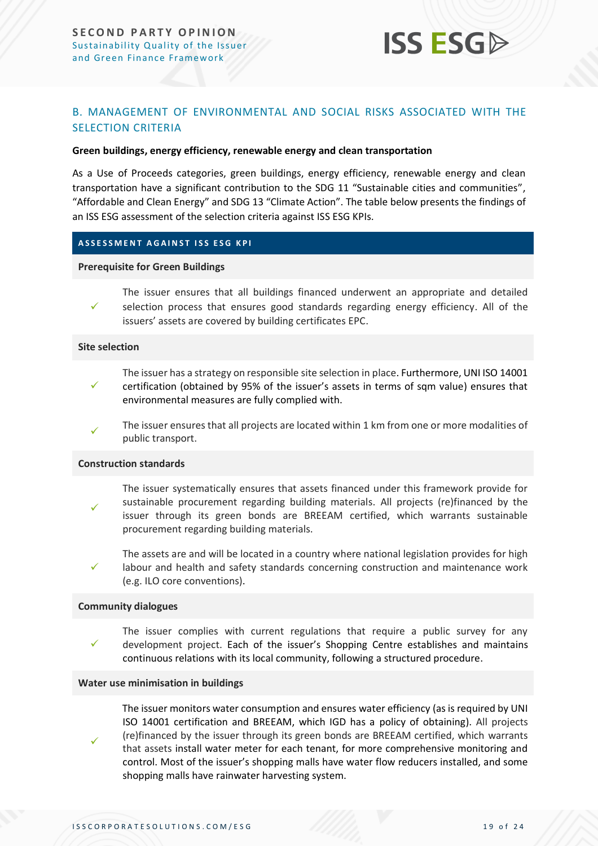

#### <span id="page-18-0"></span>B. MANAGEMENT OF ENVIRONMENTAL AND SOCIAL RISKS ASSOCIATED WITH THE SELECTION CRITERIA

#### **Green buildings, energy efficiency, renewable energy and clean transportation**

As a Use of Proceeds categories, green buildings, energy efficiency, renewable energy and clean transportation have a significant contribution to the SDG 11 "Sustainable cities and communities", "Affordable and Clean Energy" and SDG 13 "Climate Action". The table below presents the findings of an ISS ESG assessment of the selection criteria against ISS ESG KPIs.

#### **ASSESSMENT AGAINST ISS ESG KPI**

#### **Prerequisite for Green Buildings**

✓ The issuer ensures that all buildings financed underwent an appropriate and detailed selection process that ensures good standards regarding energy efficiency. All of the issuers' assets are covered by building certificates EPC.

#### **Site selection**

- ✓ The issuer has a strategy on responsible site selection in place. Furthermore, UNI ISO 14001 certification (obtained by 95% of the issuer's assets in terms of sqm value) ensures that environmental measures are fully complied with.
- ✓ The issuer ensures that all projects are located within 1 km from one or more modalities of public transport.

#### **Construction standards**

- ✓ The issuer systematically ensures that assets financed under this framework provide for sustainable procurement regarding building materials. All projects (re)financed by the issuer through its green bonds are BREEAM certified, which warrants sustainable procurement regarding building materials.
- ✓ The assets are and will be located in a country where national legislation provides for high labour and health and safety standards concerning construction and maintenance work (e.g. ILO core conventions).

#### **Community dialogues**

✓

✓ The issuer complies with current regulations that require a public survey for any development project. Each of the issuer's Shopping Centre establishes and maintains continuous relations with its local community, following a structured procedure.

#### **Water use minimisation in buildings**

 The issuer monitors water consumption and ensures water efficiency (as is required by UNI ISO 14001 certification and BREEAM, which IGD has a policy of obtaining). All projects (re)financed by the issuer through its green bonds are BREEAM certified, which warrants that assets install water meter for each tenant, for more comprehensive monitoring and control. Most of the issuer's shopping malls have water flow reducers installed, and some shopping malls have rainwater harvesting system.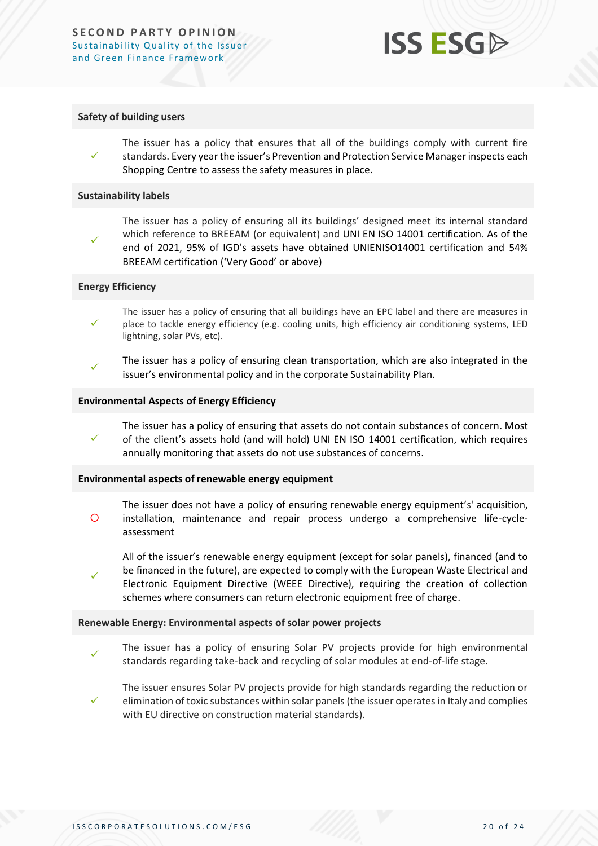## **ISS ESG**

#### **Safety of building users**

✓ The issuer has a policy that ensures that all of the buildings comply with current fire standards. Every year the issuer's Prevention and Protection Service Manager inspects each Shopping Centre to assess the safety measures in place.

#### **Sustainability labels**

✓ The issuer has a policy of ensuring all its buildings' designed meet its internal standard which reference to BREEAM (or equivalent) and UNI EN ISO 14001 certification. As of the end of 2021, 95% of IGD's assets have obtained UNIENISO14001 certification and 54% BREEAM certification ('Very Good' or above)

#### **Energy Efficiency**

- ✓ The issuer has a policy of ensuring that all buildings have an EPC label and there are measures in place to tackle energy efficiency (e.g. cooling units, high efficiency air conditioning systems, LED lightning, solar PVs, etc).
- ✓ The issuer has a policy of ensuring clean transportation, which are also integrated in the issuer's environmental policy and in the corporate Sustainability Plan.

#### **Environmental Aspects of Energy Efficiency**

✓ The issuer has a policy of ensuring that assets do not contain substances of concern. Most of the client's assets hold (and will hold) UNI EN ISO 14001 certification, which requires annually monitoring that assets do not use substances of concerns.

#### **Environmental aspects of renewable energy equipment**

- $\circ$ The issuer does not have a policy of ensuring renewable energy equipment's' acquisition, installation, maintenance and repair process undergo a comprehensive life-cycleassessment
- ✓ All of the issuer's renewable energy equipment (except for solar panels), financed (and to be financed in the future), are expected to comply with the European Waste Electrical and Electronic Equipment Directive (WEEE Directive), requiring the creation of collection schemes where consumers can return electronic equipment free of charge.

#### **Renewable Energy: Environmental aspects of solar power projects**

- ✓ The issuer has a policy of ensuring Solar PV projects provide for high environmental standards regarding take-back and recycling of solar modules at end-of-life stage.
- ✓ The issuer ensures Solar PV projects provide for high standards regarding the reduction or elimination of toxic substances within solar panels (the issuer operates in Italy and complies with EU directive on construction material standards).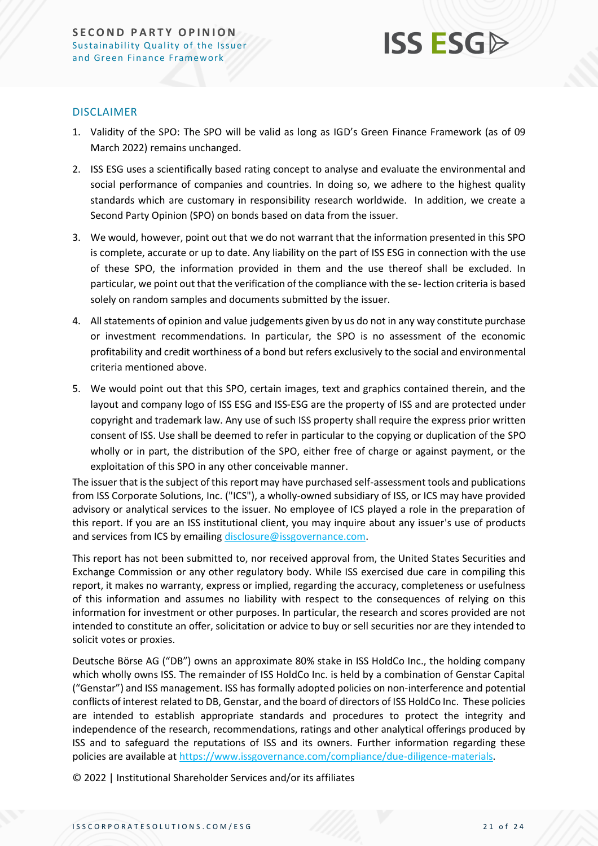

#### DISCLAIMER

- 1. Validity of the SPO: The SPO will be valid as long as IGD's Green Finance Framework (as of 09 March 2022) remains unchanged.
- 2. ISS ESG uses a scientifically based rating concept to analyse and evaluate the environmental and social performance of companies and countries. In doing so, we adhere to the highest quality standards which are customary in responsibility research worldwide. In addition, we create a Second Party Opinion (SPO) on bonds based on data from the issuer.
- 3. We would, however, point out that we do not warrant that the information presented in this SPO is complete, accurate or up to date. Any liability on the part of ISS ESG in connection with the use of these SPO, the information provided in them and the use thereof shall be excluded. In particular, we point out that the verification of the compliance with the se- lection criteria is based solely on random samples and documents submitted by the issuer.
- 4. All statements of opinion and value judgements given by us do not in any way constitute purchase or investment recommendations. In particular, the SPO is no assessment of the economic profitability and credit worthiness of a bond but refers exclusively to the social and environmental criteria mentioned above.
- 5. We would point out that this SPO, certain images, text and graphics contained therein, and the layout and company logo of ISS ESG and ISS-ESG are the property of ISS and are protected under copyright and trademark law. Any use of such ISS property shall require the express prior written consent of ISS. Use shall be deemed to refer in particular to the copying or duplication of the SPO wholly or in part, the distribution of the SPO, either free of charge or against payment, or the exploitation of this SPO in any other conceivable manner.

The issuer that is the subject of this report may have purchased self-assessment tools and publications from ISS Corporate Solutions, Inc. ("ICS"), a wholly-owned subsidiary of ISS, or ICS may have provided advisory or analytical services to the issuer. No employee of ICS played a role in the preparation of this report. If you are an ISS institutional client, you may inquire about any issuer's use of products and services from ICS by emailing [disclosure@issgovernance.com.](mailto:disclosure@issgovernance.com)

This report has not been submitted to, nor received approval from, the United States Securities and Exchange Commission or any other regulatory body. While ISS exercised due care in compiling this report, it makes no warranty, express or implied, regarding the accuracy, completeness or usefulness of this information and assumes no liability with respect to the consequences of relying on this information for investment or other purposes. In particular, the research and scores provided are not intended to constitute an offer, solicitation or advice to buy or sell securities nor are they intended to solicit votes or proxies.

Deutsche Börse AG ("DB") owns an approximate 80% stake in ISS HoldCo Inc., the holding company which wholly owns ISS. The remainder of ISS HoldCo Inc. is held by a combination of Genstar Capital ("Genstar") and ISS management. ISS has formally adopted policies on non-interference and potential conflicts of interest related to DB, Genstar, and the board of directors of ISS HoldCo Inc. These policies are intended to establish appropriate standards and procedures to protect the integrity and independence of the research, recommendations, ratings and other analytical offerings produced by ISS and to safeguard the reputations of ISS and its owners. Further information regarding these policies are available at [https://www.issgovernance.com/compliance/due-diligence-materials.](https://www.issgovernance.com/compliance/due-diligence-materials)

© 2022 | Institutional Shareholder Services and/or its affiliates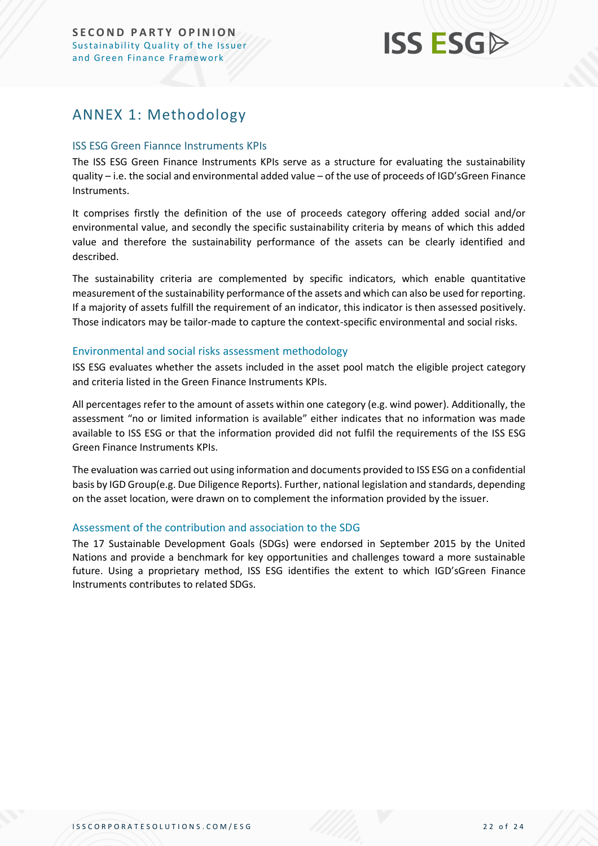## <span id="page-21-0"></span>ANNEX 1: Methodology

#### ISS ESG Green Fiannce Instruments KPIs

The ISS ESG Green Finance Instruments KPIs serve as a structure for evaluating the sustainability quality – i.e. the social and environmental added value – of the use of proceeds of IGD'sGreen Finance Instruments.

It comprises firstly the definition of the use of proceeds category offering added social and/or environmental value, and secondly the specific sustainability criteria by means of which this added value and therefore the sustainability performance of the assets can be clearly identified and described.

The sustainability criteria are complemented by specific indicators, which enable quantitative measurement of the sustainability performance of the assets and which can also be used for reporting. If a majority of assets fulfill the requirement of an indicator, this indicator is then assessed positively. Those indicators may be tailor-made to capture the context-specific environmental and social risks.

#### Environmental and social risks assessment methodology

ISS ESG evaluates whether the assets included in the asset pool match the eligible project category and criteria listed in the Green Finance Instruments KPIs.

All percentages refer to the amount of assets within one category (e.g. wind power). Additionally, the assessment "no or limited information is available" either indicates that no information was made available to ISS ESG or that the information provided did not fulfil the requirements of the ISS ESG Green Finance Instruments KPIs.

The evaluation was carried out using information and documents provided to ISS ESG on a confidential basis by IGD Group(e.g. Due Diligence Reports). Further, national legislation and standards, depending on the asset location, were drawn on to complement the information provided by the issuer.

#### Assessment of the contribution and association to the SDG

The 17 Sustainable Development Goals (SDGs) were endorsed in September 2015 by the United Nations and provide a benchmark for key opportunities and challenges toward a more sustainable future. Using a proprietary method, ISS ESG identifies the extent to which IGD'sGreen Finance Instruments contributes to related SDGs.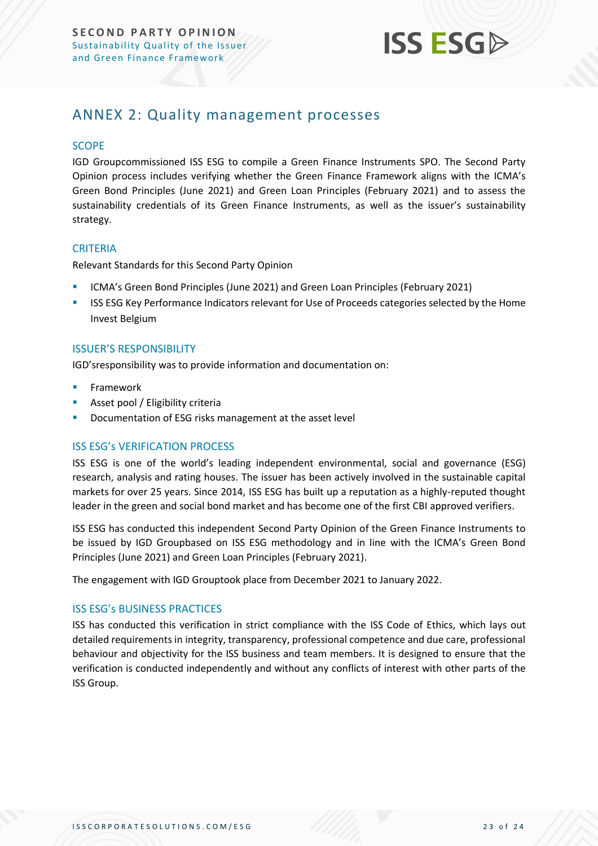

## <span id="page-22-0"></span>ANNEX 2: Quality management processes

#### **SCOPE**

IGD Groupcommissioned ISS ESG to compile a Green Finance Instruments SPO. The Second Party Opinion process includes verifying whether the Green Finance Framework aligns with the ICMA's Green Bond Principles (June 2021) and Green Loan Principles (February 2021) and to assess the sustainability credentials of its Green Finance Instruments, as well as the issuer's sustainability strategy.

#### **CRITERIA**

Relevant Standards for this Second Party Opinion

- ICMA's Green Bond Principles (June 2021) and Green Loan Principles (February 2021)
- **EXECT ASSESG Key Performance Indicators relevant for Use of Proceeds categories selected by the Home** Invest Belgium

#### ISSUER'S RESPONSIBILITY

IGD'sresponsibility was to provide information and documentation on:

- **Framework**
- Asset pool / Eligibility criteria
- Documentation of ESG risks management at the asset level

#### ISS ESG's VERIFICATION PROCESS

ISS ESG is one of the world's leading independent environmental, social and governance (ESG) research, analysis and rating houses. The issuer has been actively involved in the sustainable capital markets for over 25 years. Since 2014, ISS ESG has built up a reputation as a highly-reputed thought leader in the green and social bond market and has become one of the first CBI approved verifiers.

ISS ESG has conducted this independent Second Party Opinion of the Green Finance Instruments to be issued by IGD Groupbased on ISS ESG methodology and in line with the ICMA's Green Bond Principles (June 2021) and Green Loan Principles (February 2021).

The engagement with IGD Grouptook place from December 2021 to January 2022.

#### ISS ESG's BUSINESS PRACTICES

ISS has conducted this verification in strict compliance with the ISS Code of Ethics, which lays out detailed requirements in integrity, transparency, professional competence and due care, professional behaviour and objectivity for the ISS business and team members. It is designed to ensure that the verification is conducted independently and without any conflicts of interest with other parts of the ISS Group.